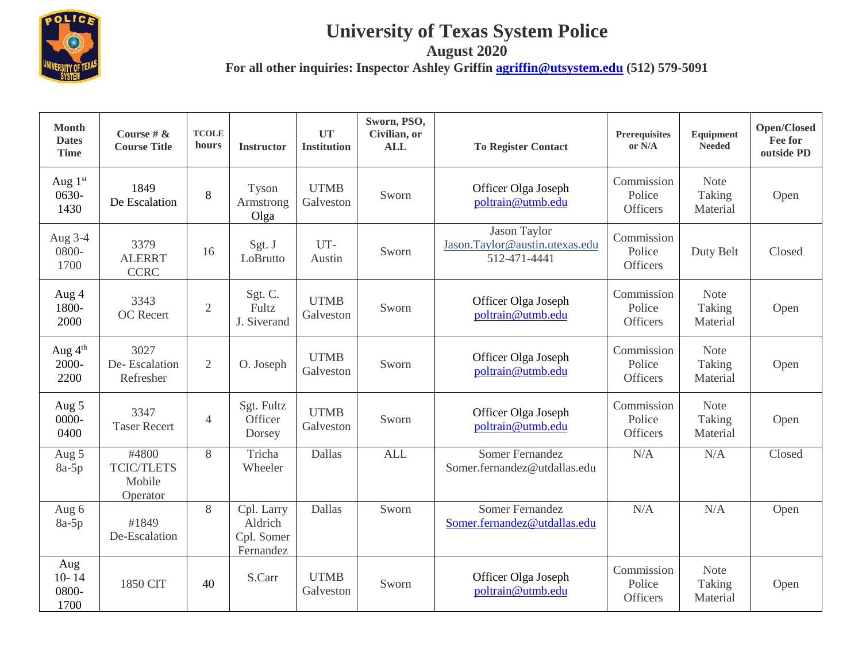

## **University of Texas System Police**

**August 2020**

**For all other inquiries: Inspector Ashley Griffin [agriffin@utsystem.edu](mailto:agriffin@utsystem.edu) (512) 579-5091**

| <b>Month</b><br><b>Dates</b><br><b>Time</b> | Course # $\&$<br><b>Course Title</b>             | <b>TCOLE</b><br>hours | <b>Instructor</b>                                | <b>UT</b><br><b>Institution</b> | Sworn, PSO,<br>Civilian, or<br><b>ALL</b> | <b>To Register Contact</b>                                     | Prerequisites<br>or N/A                 | Equipment<br><b>Needed</b>        | Open/Closed<br>Fee for<br>outside PD |
|---------------------------------------------|--------------------------------------------------|-----------------------|--------------------------------------------------|---------------------------------|-------------------------------------------|----------------------------------------------------------------|-----------------------------------------|-----------------------------------|--------------------------------------|
| Aug 1st<br>0630-<br>1430                    | 1849<br>De Escalation                            | 8                     | Tyson<br>Armstrong<br>Olga                       | <b>UTMB</b><br>Galveston        | Sworn                                     | Officer Olga Joseph<br>poltrain@utmb.edu                       | Commission<br>Police<br><b>Officers</b> | <b>Note</b><br>Taking<br>Material | Open                                 |
| Aug 3-4<br>0800-<br>1700                    | 3379<br><b>ALERRT</b><br><b>CCRC</b>             | 16                    | Sgt. J<br>LoBrutto                               | UT-<br>Austin                   | Sworn                                     | Jason Taylor<br>Jason.Taylor@austin.utexas.edu<br>512-471-4441 | Commission<br>Police<br>Officers        | Duty Belt                         | Closed                               |
| Aug 4<br>1800-<br>2000                      | 3343<br><b>OC</b> Recert                         | $\overline{2}$        | Sgt. C.<br>Fultz<br>J. Siverand                  | <b>UTMB</b><br>Galveston        | Sworn                                     | Officer Olga Joseph<br>poltrain@utmb.edu                       | Commission<br>Police<br>Officers        | <b>Note</b><br>Taking<br>Material | Open                                 |
| Aug 4 <sup>th</sup><br>2000-<br>2200        | 3027<br>De-Escalation<br>Refresher               | $\overline{2}$        | O. Joseph                                        | <b>UTMB</b><br>Galveston        | Sworn                                     | Officer Olga Joseph<br>poltrain@utmb.edu                       | Commission<br>Police<br><b>Officers</b> | <b>Note</b><br>Taking<br>Material | Open                                 |
| Aug 5<br>0000-<br>0400                      | 3347<br><b>Taser Recert</b>                      | $\overline{4}$        | Sgt. Fultz<br>Officer<br>Dorsey                  | <b>UTMB</b><br>Galveston        | Sworn                                     | Officer Olga Joseph<br>poltrain@utmb.edu                       | Commission<br>Police<br><b>Officers</b> | <b>Note</b><br>Taking<br>Material | Open                                 |
| Aug 5<br>$8a-5p$                            | #4800<br><b>TCIC/TLETS</b><br>Mobile<br>Operator | 8                     | Tricha<br>Wheeler                                | Dallas                          | <b>ALL</b>                                | <b>Somer Fernandez</b><br>Somer.fernandez@utdallas.edu         | N/A                                     | N/A                               | Closed                               |
| Aug 6<br>$8a-5p$                            | #1849<br>De-Escalation                           | 8                     | Cpl. Larry<br>Aldrich<br>Cpl. Somer<br>Fernandez | Dallas                          | Sworn                                     | Somer Fernandez<br>Somer.fernandez@utdallas.edu                | N/A                                     | N/A                               | Open                                 |
| Aug<br>$10 - 14$<br>0800-<br>1700           | 1850 CIT                                         | 40                    | S.Carr                                           | <b>UTMB</b><br>Galveston        | Sworn                                     | Officer Olga Joseph<br>poltrain@utmb.edu                       | Commission<br>Police<br>Officers        | <b>Note</b><br>Taking<br>Material | Open                                 |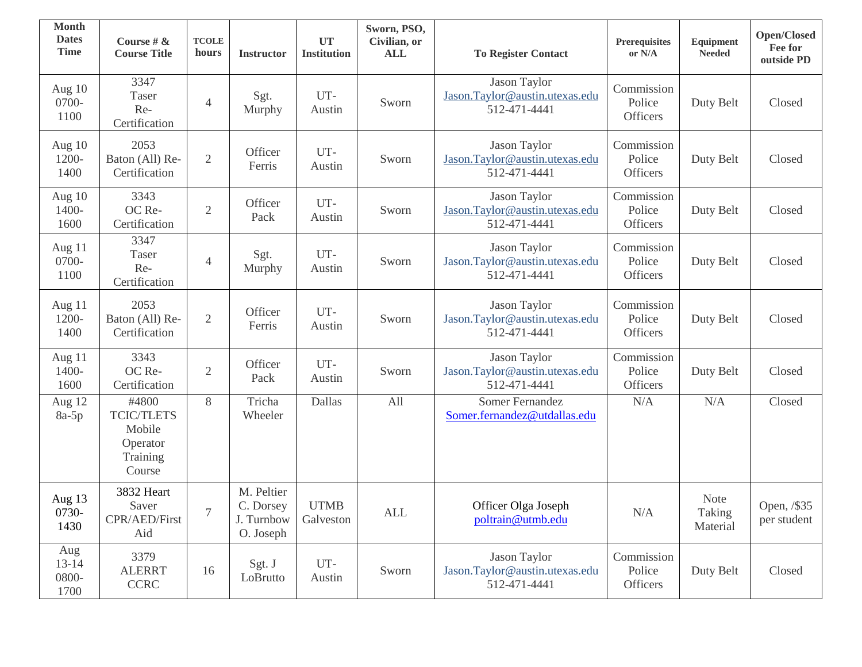| <b>Month</b><br><b>Dates</b><br><b>Time</b> | Course # &<br><b>Course Title</b>                                      | <b>TCOLE</b><br>hours | <b>Instructor</b>                                  | <b>UT</b><br><b>Institution</b> | Sworn, PSO,<br>Civilian, or<br><b>ALL</b> | <b>To Register Contact</b>                                     | Prerequisites<br>or $\rm N/A$           | Equipment<br><b>Needed</b>        | <b>Open/Closed</b><br>Fee for<br>outside PD |
|---------------------------------------------|------------------------------------------------------------------------|-----------------------|----------------------------------------------------|---------------------------------|-------------------------------------------|----------------------------------------------------------------|-----------------------------------------|-----------------------------------|---------------------------------------------|
| Aug 10<br>0700-<br>1100                     | 3347<br>Taser<br>Re-<br>Certification                                  | $\overline{4}$        | Sgt.<br>Murphy                                     | UT-<br>Austin                   | Sworn                                     | Jason Taylor<br>Jason.Taylor@austin.utexas.edu<br>512-471-4441 | Commission<br>Police<br><b>Officers</b> | Duty Belt                         | Closed                                      |
| Aug $10$<br>1200-<br>1400                   | 2053<br>Baton (All) Re-<br>Certification                               | $\overline{2}$        | Officer<br>Ferris                                  | UT-<br>Austin                   | Sworn                                     | Jason Taylor<br>Jason.Taylor@austin.utexas.edu<br>512-471-4441 | Commission<br>Police<br>Officers        | Duty Belt                         | Closed                                      |
| Aug 10<br>1400-<br>1600                     | 3343<br>OC Re-<br>Certification                                        | $\overline{2}$        | Officer<br>Pack                                    | UT-<br>Austin                   | Sworn                                     | Jason Taylor<br>Jason.Taylor@austin.utexas.edu<br>512-471-4441 | Commission<br>Police<br>Officers        | Duty Belt                         | Closed                                      |
| Aug 11<br>0700-<br>1100                     | 3347<br>Taser<br>Re-<br>Certification                                  | $\overline{4}$        | Sgt.<br>Murphy                                     | UT-<br>Austin                   | Sworn                                     | Jason Taylor<br>Jason.Taylor@austin.utexas.edu<br>512-471-4441 | Commission<br>Police<br>Officers        | Duty Belt                         | Closed                                      |
| Aug 11<br>1200-<br>1400                     | 2053<br>Baton (All) Re-<br>Certification                               | $\mathfrak{2}$        | Officer<br>Ferris                                  | UT-<br>Austin                   | Sworn                                     | Jason Taylor<br>Jason.Taylor@austin.utexas.edu<br>512-471-4441 | Commission<br>Police<br>Officers        | Duty Belt                         | Closed                                      |
| Aug 11<br>1400-<br>1600                     | 3343<br>OC Re-<br>Certification                                        | $\sqrt{2}$            | Officer<br>Pack                                    | UT-<br>Austin                   | Sworn                                     | Jason Taylor<br>Jason.Taylor@austin.utexas.edu<br>512-471-4441 | Commission<br>Police<br>Officers        | Duty Belt                         | Closed                                      |
| Aug 12<br>$8a-5p$                           | #4800<br><b>TCIC/TLETS</b><br>Mobile<br>Operator<br>Training<br>Course | 8                     | Tricha<br>Wheeler                                  | Dallas                          | All                                       | <b>Somer Fernandez</b><br>Somer.fernandez@utdallas.edu         | N/A                                     | N/A                               | Closed                                      |
| Aug 13<br>0730-<br>1430                     | 3832 Heart<br>Saver<br>CPR/AED/First<br>Aid                            | 7                     | M. Peltier<br>C. Dorsey<br>J. Turnbow<br>O. Joseph | <b>UTMB</b><br>Galveston        | <b>ALL</b>                                | Officer Olga Joseph<br>poltrain@utmb.edu                       | N/A                                     | <b>Note</b><br>Taking<br>Material | Open, /\$35<br>per student                  |
| Aug<br>$13 - 14$<br>0800-<br>1700           | 3379<br><b>ALERRT</b><br><b>CCRC</b>                                   | 16                    | Sgt. J<br>LoBrutto                                 | UT-<br>Austin                   | Sworn                                     | Jason Taylor<br>Jason.Taylor@austin.utexas.edu<br>512-471-4441 | Commission<br>Police<br>Officers        | Duty Belt                         | Closed                                      |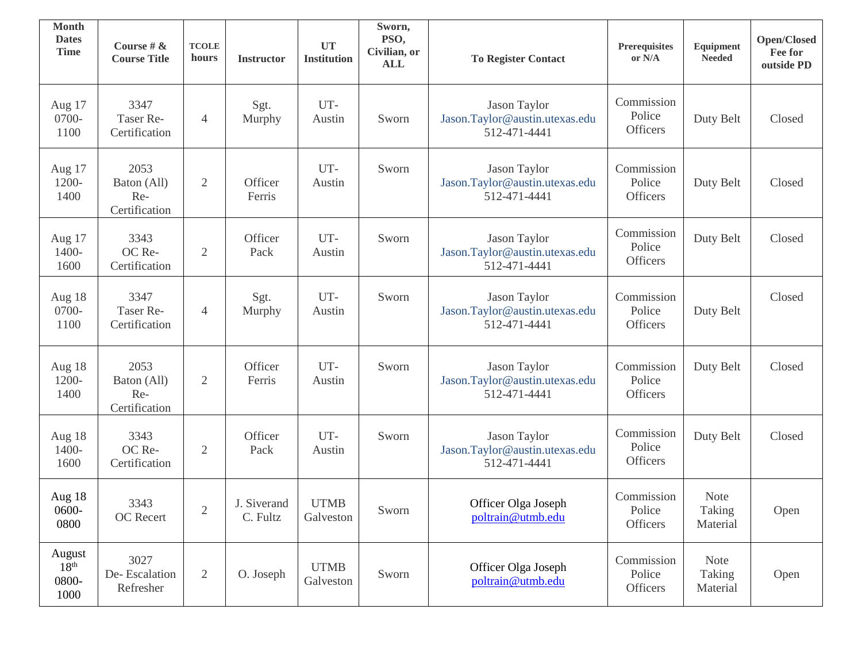| <b>Month</b><br><b>Dates</b><br><b>Time</b> | Course # $\&$<br><b>Course Title</b>        | <b>TCOLE</b><br>hours | <b>Instructor</b>       | UT<br><b>Institution</b> | Sworn,<br>PSO,<br>Civilian, or<br><b>ALL</b> | <b>To Register Contact</b>                                     | Prerequisites<br>or $\rm N/A$           | Equipment<br><b>Needed</b>        | <b>Open/Closed</b><br>Fee for<br>outside PD |
|---------------------------------------------|---------------------------------------------|-----------------------|-------------------------|--------------------------|----------------------------------------------|----------------------------------------------------------------|-----------------------------------------|-----------------------------------|---------------------------------------------|
| Aug 17<br>0700-<br>1100                     | 3347<br>Taser Re-<br>Certification          | $\overline{4}$        | Sgt.<br>Murphy          | UT-<br>Austin            | Sworn                                        | Jason Taylor<br>Jason.Taylor@austin.utexas.edu<br>512-471-4441 | Commission<br>Police<br>Officers        | Duty Belt                         | Closed                                      |
| Aug 17<br>1200-<br>1400                     | 2053<br>Baton (All)<br>Re-<br>Certification | $\overline{2}$        | Officer<br>Ferris       | UT-<br>Austin            | Sworn                                        | Jason Taylor<br>Jason.Taylor@austin.utexas.edu<br>512-471-4441 | Commission<br>Police<br><b>Officers</b> | Duty Belt                         | Closed                                      |
| Aug 17<br>1400-<br>1600                     | 3343<br>OC Re-<br>Certification             | 2                     | Officer<br>Pack         | UT-<br>Austin            | Sworn                                        | Jason Taylor<br>Jason.Taylor@austin.utexas.edu<br>512-471-4441 | Commission<br>Police<br><b>Officers</b> | Duty Belt                         | Closed                                      |
| Aug 18<br>0700-<br>1100                     | 3347<br>Taser Re-<br>Certification          | $\overline{4}$        | Sgt.<br>Murphy          | UT-<br>Austin            | Sworn                                        | Jason Taylor<br>Jason.Taylor@austin.utexas.edu<br>512-471-4441 | Commission<br>Police<br>Officers        | Duty Belt                         | Closed                                      |
| Aug 18<br>1200-<br>1400                     | 2053<br>Baton (All)<br>Re-<br>Certification | $\overline{2}$        | Officer<br>Ferris       | UT-<br>Austin            | Sworn                                        | Jason Taylor<br>Jason.Taylor@austin.utexas.edu<br>512-471-4441 | Commission<br>Police<br><b>Officers</b> | Duty Belt                         | Closed                                      |
| Aug 18<br>1400-<br>1600                     | 3343<br>OC Re-<br>Certification             | 2                     | Officer<br>Pack         | UT-<br>Austin            | Sworn                                        | Jason Taylor<br>Jason.Taylor@austin.utexas.edu<br>512-471-4441 | Commission<br>Police<br>Officers        | Duty Belt                         | Closed                                      |
| Aug 18<br>$0600 -$<br>0800                  | 3343<br>OC Recert                           | $\overline{2}$        | J. Siverand<br>C. Fultz | <b>UTMB</b><br>Galveston | Sworn                                        | Officer Olga Joseph<br>poltrain@utmb.edu                       | Commission<br>Police<br>Officers        | <b>Note</b><br>Taking<br>Material | Open                                        |
| August<br>18 <sup>th</sup><br>0800-<br>1000 | 3027<br>De-Escalation<br>Refresher          | $\overline{2}$        | O. Joseph               | <b>UTMB</b><br>Galveston | Sworn                                        | Officer Olga Joseph<br>poltrain@utmb.edu                       | Commission<br>Police<br>Officers        | Note<br>Taking<br>Material        | Open                                        |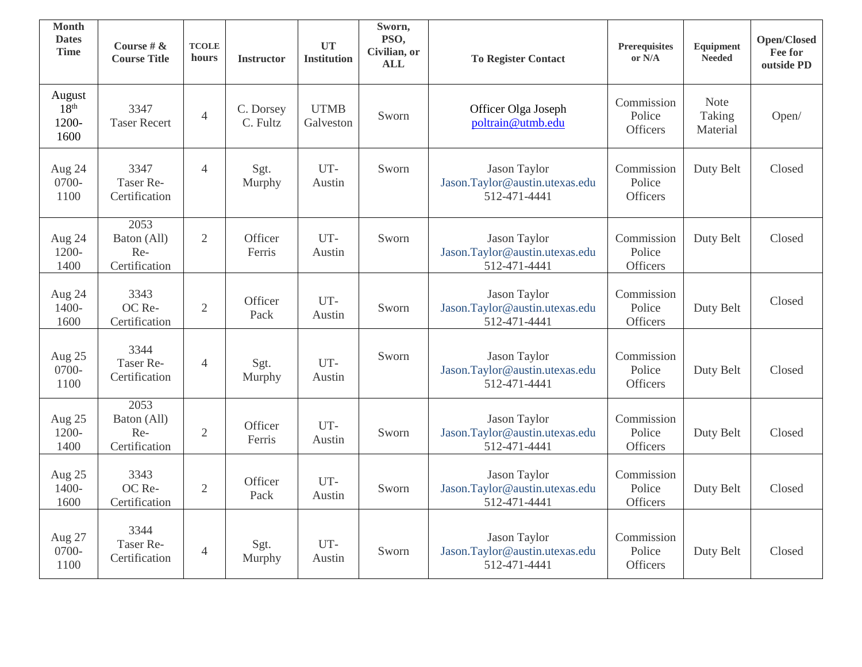| <b>Month</b><br><b>Dates</b><br><b>Time</b> | Course # $\&$<br><b>Course Title</b>        | <b>TCOLE</b><br>hours | <b>Instructor</b>     | <b>UT</b><br><b>Institution</b> | Sworn,<br>PSO,<br>Civilian, or<br><b>ALL</b> | <b>To Register Contact</b>                                            | <b>Prerequisites</b><br>or N/A          | <b>Equipment</b><br><b>Needed</b> | Open/Closed<br>Fee for<br>outside PD |
|---------------------------------------------|---------------------------------------------|-----------------------|-----------------------|---------------------------------|----------------------------------------------|-----------------------------------------------------------------------|-----------------------------------------|-----------------------------------|--------------------------------------|
| August<br>18 <sup>th</sup><br>1200-<br>1600 | 3347<br><b>Taser Recert</b>                 | $\overline{4}$        | C. Dorsey<br>C. Fultz | <b>UTMB</b><br>Galveston        | Sworn                                        | Officer Olga Joseph<br>poltrain@utmb.edu                              | Commission<br>Police<br>Officers        | <b>Note</b><br>Taking<br>Material | Open/                                |
| Aug 24<br>0700-<br>1100                     | 3347<br>Taser Re-<br>Certification          | $\overline{4}$        | Sgt.<br>Murphy        | UT-<br>Austin                   | Sworn                                        | Jason Taylor<br>Jason.Taylor@austin.utexas.edu<br>512-471-4441        | Commission<br>Police<br><b>Officers</b> | Duty Belt                         | Closed                               |
| Aug 24<br>1200-<br>1400                     | 2053<br>Baton (All)<br>Re-<br>Certification | $\overline{2}$        | Officer<br>Ferris     | UT-<br>Austin                   | Sworn                                        | Jason Taylor<br>Jason.Taylor@austin.utexas.edu<br>512-471-4441        | Commission<br>Police<br>Officers        | Duty Belt                         | Closed                               |
| Aug 24<br>1400-<br>1600                     | 3343<br>OC Re-<br>Certification             | $\overline{2}$        | Officer<br>Pack       | UT-<br>Austin                   | Sworn                                        | <b>Jason Taylor</b><br>Jason.Taylor@austin.utexas.edu<br>512-471-4441 | Commission<br>Police<br>Officers        | Duty Belt                         | Closed                               |
| Aug 25<br>0700-<br>1100                     | 3344<br>Taser Re-<br>Certification          | $\overline{4}$        | Sgt.<br>Murphy        | UT-<br>Austin                   | Sworn                                        | Jason Taylor<br>Jason.Taylor@austin.utexas.edu<br>512-471-4441        | Commission<br>Police<br><b>Officers</b> | Duty Belt                         | Closed                               |
| Aug 25<br>1200-<br>1400                     | 2053<br>Baton (All)<br>Re-<br>Certification | $\overline{2}$        | Officer<br>Ferris     | UT-<br>Austin                   | Sworn                                        | Jason Taylor<br>Jason.Taylor@austin.utexas.edu<br>512-471-4441        | Commission<br>Police<br>Officers        | Duty Belt                         | Closed                               |
| Aug 25<br>1400-<br>1600                     | 3343<br>OC Re-<br>Certification             | $\overline{2}$        | Officer<br>Pack       | UT-<br>Austin                   | Sworn                                        | Jason Taylor<br>Jason.Taylor@austin.utexas.edu<br>512-471-4441        | Commission<br>Police<br>Officers        | Duty Belt                         | Closed                               |
| Aug 27<br>0700-<br>1100                     | 3344<br>Taser Re-<br>Certification          | $\overline{4}$        | Sgt.<br>Murphy        | UT-<br>Austin                   | Sworn                                        | Jason Taylor<br>Jason.Taylor@austin.utexas.edu<br>512-471-4441        | Commission<br>Police<br>Officers        | Duty Belt                         | Closed                               |